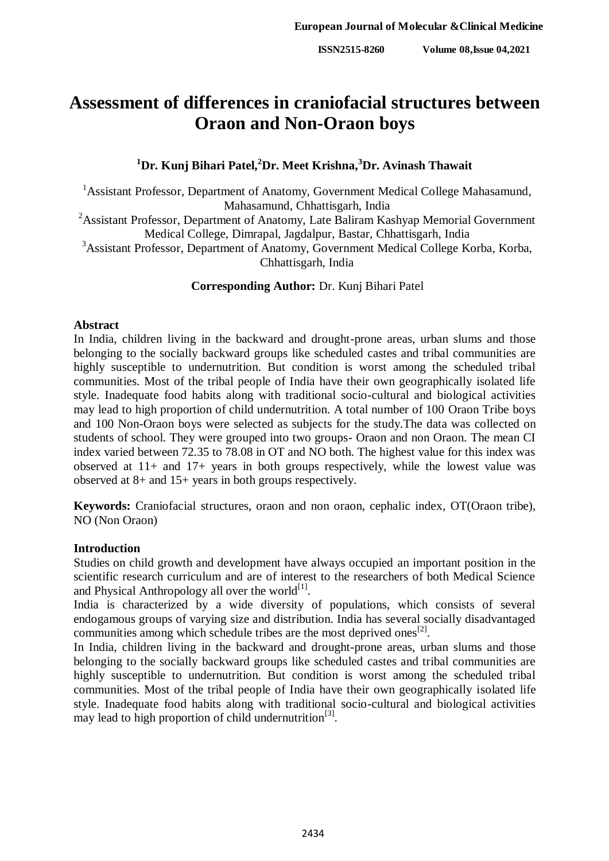# **Assessment of differences in craniofacial structures between Oraon and Non-Oraon boys**

# **<sup>1</sup>Dr. Kunj Bihari Patel,<sup>2</sup>Dr. Meet Krishna,<sup>3</sup>Dr. Avinash Thawait**

<sup>1</sup> Assistant Professor, Department of Anatomy, Government Medical College Mahasamund, Mahasamund, Chhattisgarh, India

<sup>2</sup>Assistant Professor, Department of Anatomy, Late Baliram Kashyap Memorial Government Medical College, Dimrapal, Jagdalpur, Bastar, Chhattisgarh, India

<sup>3</sup>Assistant Professor, Department of Anatomy, Government Medical College Korba, Korba, Chhattisgarh, India

**Corresponding Author:** Dr. Kunj Bihari Patel

#### **Abstract**

In India, children living in the backward and drought-prone areas, urban slums and those belonging to the socially backward groups like scheduled castes and tribal communities are highly susceptible to undernutrition. But condition is worst among the scheduled tribal communities. Most of the tribal people of India have their own geographically isolated life style. Inadequate food habits along with traditional socio-cultural and biological activities may lead to high proportion of child undernutrition. A total number of 100 Oraon Tribe boys and 100 Non-Oraon boys were selected as subjects for the study.The data was collected on students of school. They were grouped into two groups- Oraon and non Oraon. The mean CI index varied between 72.35 to 78.08 in OT and NO both. The highest value for this index was observed at 11+ and 17+ years in both groups respectively, while the lowest value was observed at 8+ and 15+ years in both groups respectively.

**Keywords:** Craniofacial structures, oraon and non oraon, cephalic index, OT(Oraon tribe), NO (Non Oraon)

# **Introduction**

Studies on child growth and development have always occupied an important position in the scientific research curriculum and are of interest to the researchers of both Medical Science and Physical Anthropology all over the world $^{[1]}$ .

India is characterized by a wide diversity of populations, which consists of several endogamous groups of varying size and distribution. India has several socially disadvantaged communities among which schedule tribes are the most deprived ones<sup>[2]</sup>.

In India, children living in the backward and drought-prone areas, urban slums and those belonging to the socially backward groups like scheduled castes and tribal communities are highly susceptible to undernutrition. But condition is worst among the scheduled tribal communities. Most of the tribal people of India have their own geographically isolated life style. Inadequate food habits along with traditional socio-cultural and biological activities may lead to high proportion of child undernutrition<sup>[3]</sup>.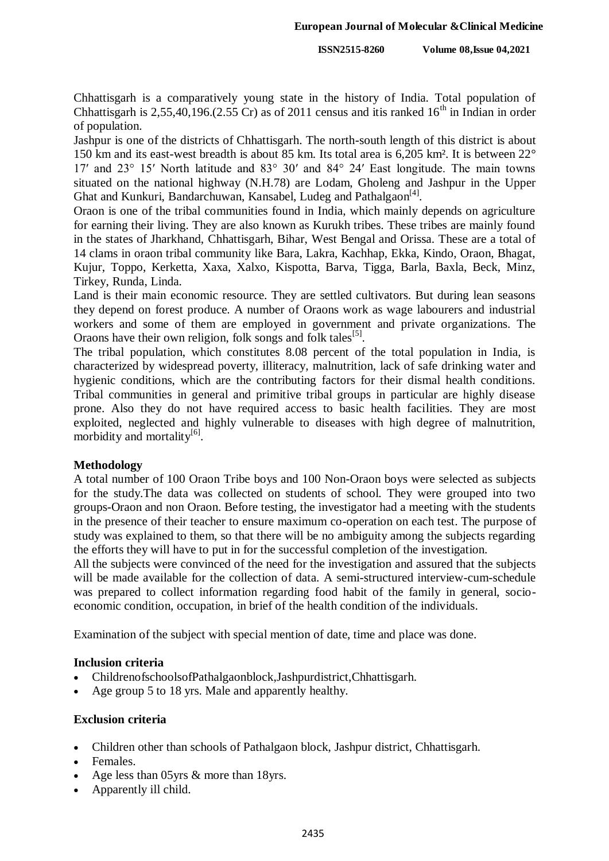Chhattisgarh is a comparatively young state in the history of India. Total population of Chhattisgarh is 2,55,40,196.(2,55 Cr) as of 2011 census and itis ranked  $16<sup>th</sup>$  in Indian in order of population.

Jashpur is one of the districts of Chhattisgarh. The north-south length of this district is about 150 km and its east-west breadth is about 85 km. Its total area is 6,205 km². It is between 22° 17′ and 23° 15′ North latitude and 83° 30′ and 84° 24′ East longitude. The main towns situated on the national highway (N.H.78) are Lodam, Gholeng and Jashpur in the Upper Ghat and Kunkuri, Bandarchuwan, Kansabel, Ludeg and Pathalgaon<sup>[4]</sup>.

Oraon is one of the tribal communities found in India, which mainly depends on agriculture for earning their living. They are also known as Kurukh tribes. These tribes are mainly found in the states of Jharkhand, Chhattisgarh, Bihar, West Bengal and Orissa. These are a total of 14 clams in oraon tribal community like Bara, Lakra, Kachhap, Ekka, Kindo, Oraon, Bhagat, Kujur, Toppo, Kerketta, Xaxa, Xalxo, Kispotta, Barva, Tigga, Barla, Baxla, Beck, Minz, Tirkey, Runda, Linda.

Land is their main economic resource. They are settled cultivators. But during lean seasons they depend on forest produce. A number of Oraons work as wage labourers and industrial workers and some of them are employed in government and private organizations. The Oraons have their own religion, folk songs and folk tales<sup>[5]</sup>.

The tribal population, which constitutes 8.08 percent of the total population in India, is characterized by widespread poverty, illiteracy, malnutrition, lack of safe drinking water and hygienic conditions, which are the contributing factors for their dismal health conditions. Tribal communities in general and primitive tribal groups in particular are highly disease prone. Also they do not have required access to basic health facilities. They are most exploited, neglected and highly vulnerable to diseases with high degree of malnutrition, morbidity and mortality<sup>[6]</sup>.

#### **Methodology**

A total number of 100 Oraon Tribe boys and 100 Non-Oraon boys were selected as subjects for the study.The data was collected on students of school. They were grouped into two groups-Oraon and non Oraon. Before testing, the investigator had a meeting with the students in the presence of their teacher to ensure maximum co-operation on each test. The purpose of study was explained to them, so that there will be no ambiguity among the subjects regarding the efforts they will have to put in for the successful completion of the investigation.

All the subjects were convinced of the need for the investigation and assured that the subjects will be made available for the collection of data. A semi-structured interview-cum-schedule was prepared to collect information regarding food habit of the family in general, socioeconomic condition, occupation, in brief of the health condition of the individuals.

Examination of the subject with special mention of date, time and place was done.

#### **Inclusion criteria**

- ChildrenofschoolsofPathalgaonblock,Jashpurdistrict,Chhattisgarh.
- Age group 5 to 18 yrs. Male and apparently healthy.

#### **Exclusion criteria**

- Children other than schools of Pathalgaon block, Jashpur district, Chhattisgarh.
- Females.
- Age less than 05 yrs & more than 18 yrs.
- Apparently ill child.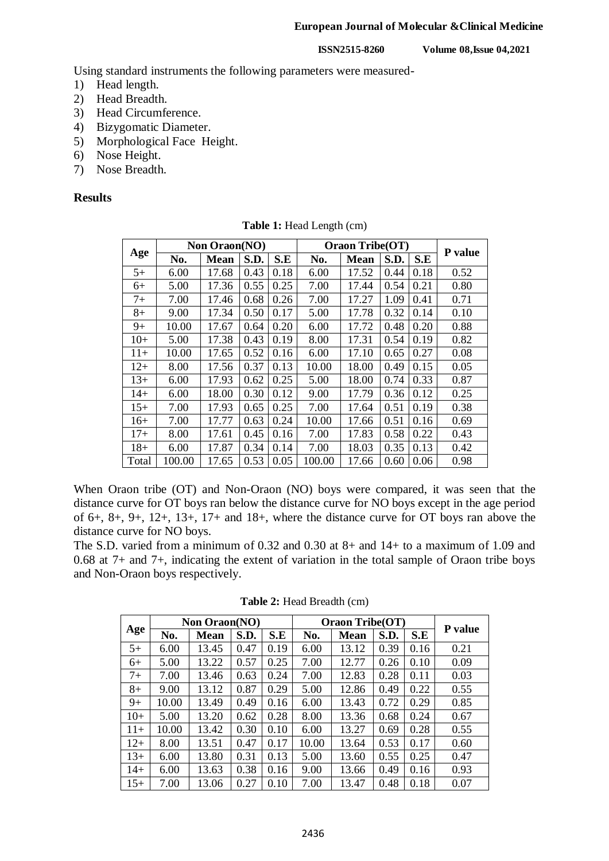#### **European Journal of Molecular &Clinical Medicine**

**ISSN2515-8260 Volume 08,Issue 04,2021**

Using standard instruments the following parameters were measured-

- 1) Head length.
- 2) Head Breadth.
- 3) Head Circumference.
- 4) Bizygomatic Diameter.
- 5) Morphological Face Height.
- 6) Nose Height.
- 7) Nose Breadth.

### **Results**

|       |        | <b>Non Oraon(NO)</b> |      |      |        | <b>Oraon Tribe(OT)</b> |      |      |         |
|-------|--------|----------------------|------|------|--------|------------------------|------|------|---------|
| Age   | No.    | <b>Mean</b>          | S.D. | S.E  | No.    | Mean                   | S.D. | S.E  | P value |
| $5+$  | 6.00   | 17.68                | 0.43 | 0.18 | 6.00   | 17.52                  | 0.44 | 0.18 | 0.52    |
| 6+    | 5.00   | 17.36                | 0.55 | 0.25 | 7.00   | 17.44                  | 0.54 | 0.21 | 0.80    |
| $7+$  | 7.00   | 17.46                | 0.68 | 0.26 | 7.00   | 17.27                  | 1.09 | 0.41 | 0.71    |
| $8+$  | 9.00   | 17.34                | 0.50 | 0.17 | 5.00   | 17.78                  | 0.32 | 0.14 | 0.10    |
| 9+    | 10.00  | 17.67                | 0.64 | 0.20 | 6.00   | 17.72                  | 0.48 | 0.20 | 0.88    |
| $10+$ | 5.00   | 17.38                | 0.43 | 0.19 | 8.00   | 17.31                  | 0.54 | 0.19 | 0.82    |
| $11+$ | 10.00  | 17.65                | 0.52 | 0.16 | 6.00   | 17.10                  | 0.65 | 0.27 | 0.08    |
| $12+$ | 8.00   | 17.56                | 0.37 | 0.13 | 10.00  | 18.00                  | 0.49 | 0.15 | 0.05    |
| $13+$ | 6.00   | 17.93                | 0.62 | 0.25 | 5.00   | 18.00                  | 0.74 | 0.33 | 0.87    |
| 14+   | 6.00   | 18.00                | 0.30 | 0.12 | 9.00   | 17.79                  | 0.36 | 0.12 | 0.25    |
| $15+$ | 7.00   | 17.93                | 0.65 | 0.25 | 7.00   | 17.64                  | 0.51 | 0.19 | 0.38    |
| $16+$ | 7.00   | 17.77                | 0.63 | 0.24 | 10.00  | 17.66                  | 0.51 | 0.16 | 0.69    |
| $17+$ | 8.00   | 17.61                | 0.45 | 0.16 | 7.00   | 17.83                  | 0.58 | 0.22 | 0.43    |
| $18+$ | 6.00   | 17.87                | 0.34 | 0.14 | 7.00   | 18.03                  | 0.35 | 0.13 | 0.42    |
| Total | 100.00 | 17.65                | 0.53 | 0.05 | 100.00 | 17.66                  | 0.60 | 0.06 | 0.98    |

**Table 1:** Head Length (cm)

When Oraon tribe (OT) and Non-Oraon (NO) boys were compared, it was seen that the distance curve for OT boys ran below the distance curve for NO boys except in the age period of 6+, 8+, 9+, 12+, 13+, 17+ and 18+, where the distance curve for OT boys ran above the distance curve for NO boys.

The S.D. varied from a minimum of 0.32 and 0.30 at 8+ and 14+ to a maximum of 1.09 and 0.68 at 7+ and 7+, indicating the extent of variation in the total sample of Oraon tribe boys and Non-Oraon boys respectively.

|       |       | Non Oraon(NO) |      |      |       | <b>Oraon Tribe(OT)</b> |      |      | <b>P</b> value |
|-------|-------|---------------|------|------|-------|------------------------|------|------|----------------|
| Age   | No.   | <b>Mean</b>   | S.D. | S.E  | No.   | <b>Mean</b>            | S.D. | S.E  |                |
| $5+$  | 6.00  | 13.45         | 0.47 | 0.19 | 6.00  | 13.12                  | 0.39 | 0.16 | 0.21           |
| $6+$  | 5.00  | 13.22         | 0.57 | 0.25 | 7.00  | 12.77                  | 0.26 | 0.10 | 0.09           |
| $7+$  | 7.00  | 13.46         | 0.63 | 0.24 | 7.00  | 12.83                  | 0.28 | 0.11 | 0.03           |
| $8+$  | 9.00  | 13.12         | 0.87 | 0.29 | 5.00  | 12.86                  | 0.49 | 0.22 | 0.55           |
| $9+$  | 10.00 | 13.49         | 0.49 | 0.16 | 6.00  | 13.43                  | 0.72 | 0.29 | 0.85           |
| $10+$ | 5.00  | 13.20         | 0.62 | 0.28 | 8.00  | 13.36                  | 0.68 | 0.24 | 0.67           |
| $11+$ | 10.00 | 13.42         | 0.30 | 0.10 | 6.00  | 13.27                  | 0.69 | 0.28 | 0.55           |
| $12+$ | 8.00  | 13.51         | 0.47 | 0.17 | 10.00 | 13.64                  | 0.53 | 0.17 | 0.60           |
| $13+$ | 6.00  | 13.80         | 0.31 | 0.13 | 5.00  | 13.60                  | 0.55 | 0.25 | 0.47           |
| $14+$ | 6.00  | 13.63         | 0.38 | 0.16 | 9.00  | 13.66                  | 0.49 | 0.16 | 0.93           |
| $15+$ | 7.00  | 13.06         | 0.27 | 0.10 | 7.00  | 13.47                  | 0.48 | 0.18 | 0.07           |

**Table 2:** Head Breadth (cm)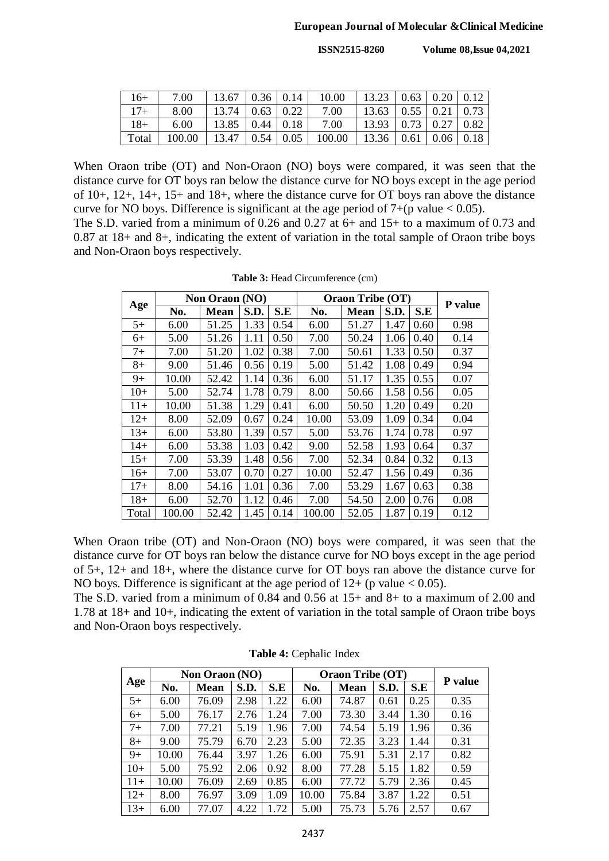| $16+$ | 7.00   |                       |  | $13.67$   0.36   0.14   10.00           | 13.23   0.63   0.20   0.12   |  |  |
|-------|--------|-----------------------|--|-----------------------------------------|------------------------------|--|--|
| $17+$ | 8.00   | $13.74$   0.63   0.22 |  | 7.00                                    | $13.63$   0.55   0.21   0.73 |  |  |
| $18+$ | 6.00   | $13.85$   0.44   0.18 |  | 7.00                                    | $13.93$   0.73   0.27   0.82 |  |  |
| Total | 100.00 |                       |  | $13.47 \mid 0.54 \mid 0.05 \mid 100.00$ | 13.36   0.61   0.06   0.18   |  |  |

When Oraon tribe (OT) and Non-Oraon (NO) boys were compared, it was seen that the distance curve for OT boys ran below the distance curve for NO boys except in the age period of 10+, 12+, 14+, 15+ and 18+, where the distance curve for OT boys ran above the distance curve for NO boys. Difference is significant at the age period of  $7+(p \text{ value} < 0.05)$ .

The S.D. varied from a minimum of 0.26 and 0.27 at 6+ and 15+ to a maximum of 0.73 and 0.87 at 18+ and 8+, indicating the extent of variation in the total sample of Oraon tribe boys and Non-Oraon boys respectively.

|       |        | <b>Non Oraon (NO)</b> |      |      |        | <b>Oraon Tribe (OT)</b> |      |      | P value |
|-------|--------|-----------------------|------|------|--------|-------------------------|------|------|---------|
| Age   | No.    | <b>Mean</b>           | S.D. | S.E  | No.    | <b>Mean</b>             | S.D. | S.E  |         |
| $5+$  | 6.00   | 51.25                 | 1.33 | 0.54 | 6.00   | 51.27                   | 1.47 | 0.60 | 0.98    |
| 6+    | 5.00   | 51.26                 | 1.11 | 0.50 | 7.00   | 50.24                   | 1.06 | 0.40 | 0.14    |
| $7+$  | 7.00   | 51.20                 | 1.02 | 0.38 | 7.00   | 50.61                   | 1.33 | 0.50 | 0.37    |
| $8+$  | 9.00   | 51.46                 | 0.56 | 0.19 | 5.00   | 51.42                   | 1.08 | 0.49 | 0.94    |
| $9+$  | 10.00  | 52.42                 | 1.14 | 0.36 | 6.00   | 51.17                   | 1.35 | 0.55 | 0.07    |
| $10+$ | 5.00   | 52.74                 | 1.78 | 0.79 | 8.00   | 50.66                   | 1.58 | 0.56 | 0.05    |
| $11+$ | 10.00  | 51.38                 | 1.29 | 0.41 | 6.00   | 50.50                   | 1.20 | 0.49 | 0.20    |
| $12+$ | 8.00   | 52.09                 | 0.67 | 0.24 | 10.00  | 53.09                   | 1.09 | 0.34 | 0.04    |
| $13+$ | 6.00   | 53.80                 | 1.39 | 0.57 | 5.00   | 53.76                   | 1.74 | 0.78 | 0.97    |
| $14+$ | 6.00   | 53.38                 | 1.03 | 0.42 | 9.00   | 52.58                   | 1.93 | 0.64 | 0.37    |
| $15+$ | 7.00   | 53.39                 | 1.48 | 0.56 | 7.00   | 52.34                   | 0.84 | 0.32 | 0.13    |
| $16+$ | 7.00   | 53.07                 | 0.70 | 0.27 | 10.00  | 52.47                   | 1.56 | 0.49 | 0.36    |
| $17+$ | 8.00   | 54.16                 | 1.01 | 0.36 | 7.00   | 53.29                   | 1.67 | 0.63 | 0.38    |
| $18+$ | 6.00   | 52.70                 | 1.12 | 0.46 | 7.00   | 54.50                   | 2.00 | 0.76 | 0.08    |
| Total | 100.00 | 52.42                 | 1.45 | 0.14 | 100.00 | 52.05                   | 1.87 | 0.19 | 0.12    |

**Table 3:** Head Circumference (cm)

When Oraon tribe (OT) and Non-Oraon (NO) boys were compared, it was seen that the distance curve for OT boys ran below the distance curve for NO boys except in the age period of 5+, 12+ and 18+, where the distance curve for OT boys ran above the distance curve for NO boys. Difference is significant at the age period of  $12+$  (p value < 0.05).

The S.D. varied from a minimum of 0.84 and 0.56 at 15+ and 8+ to a maximum of 2.00 and 1.78 at 18+ and 10+, indicating the extent of variation in the total sample of Oraon tribe boys and Non-Oraon boys respectively.

|       |       | <b>Non Oraon (NO)</b> |      |      |       | <b>Oraon Tribe (OT)</b> |      |      |                |
|-------|-------|-----------------------|------|------|-------|-------------------------|------|------|----------------|
| Age   | No.   | <b>Mean</b>           | S.D. | S.E  | No.   | <b>Mean</b>             | S.D. | S.E  | <b>P</b> value |
| $5+$  | 6.00  | 76.09                 | 2.98 | 1.22 | 6.00  | 74.87                   | 0.61 | 0.25 | 0.35           |
| $6+$  | 5.00  | 76.17                 | 2.76 | 1.24 | 7.00  | 73.30                   | 3.44 | 1.30 | 0.16           |
| $7+$  | 7.00  | 77.21                 | 5.19 | 1.96 | 7.00  | 74.54                   | 5.19 | 1.96 | 0.36           |
| $8+$  | 9.00  | 75.79                 | 6.70 | 2.23 | 5.00  | 72.35                   | 3.23 | 1.44 | 0.31           |
| $9+$  | 10.00 | 76.44                 | 3.97 | 1.26 | 6.00  | 75.91                   | 5.31 | 2.17 | 0.82           |
| $10+$ | 5.00  | 75.92                 | 2.06 | 0.92 | 8.00  | 77.28                   | 5.15 | 1.82 | 0.59           |
| $11+$ | 10.00 | 76.09                 | 2.69 | 0.85 | 6.00  | 77.72                   | 5.79 | 2.36 | 0.45           |
| $12+$ | 8.00  | 76.97                 | 3.09 | 1.09 | 10.00 | 75.84                   | 3.87 | 1.22 | 0.51           |
| $13+$ | 6.00  | 77.07                 | 4.22 | 1.72 | 5.00  | 75.73                   | 5.76 | 2.57 | 0.67           |

**Table 4:** Cephalic Index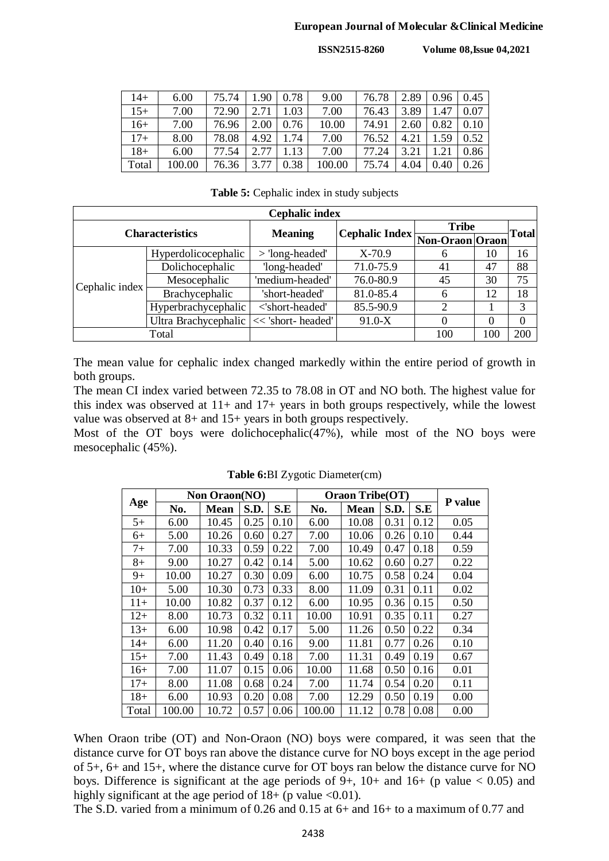#### **European Journal of Molecular &Clinical Medicine**

**ISSN2515-8260 Volume 08,Issue 04,2021**

| $14+$ | 6.00   | 75.74 | .90  | 0.78 | 9.00   | 76.78 | 2.89 | 0.96 | 0.45 |
|-------|--------|-------|------|------|--------|-------|------|------|------|
| $15+$ | 7.00   | 72.90 |      | 1.03 | 7.00   | 76.43 | 3.89 | 1.47 | 0.07 |
| $16+$ | 7.00   | 76.96 | 2.00 | 0.76 | 10.00  | 74.91 | 2.60 | 0.82 | 0.10 |
| $17+$ | 8.00   | 78.08 | 4.92 | 1.74 | 7.00   | 76.52 | 4.21 | 1.59 | 0.52 |
| $18+$ | 6.00   | 77.54 |      | .13  | 7.00   | 77.24 | 3.21 | .21  | 0.86 |
| Total | 100.00 | 76.36 |      | 0.38 | 100.00 | 75.74 | 4.04 | 0.40 | 0.26 |

**Table 5:** Cephalic index in study subjects

|                | <b>Cephalic index</b>  |                    |                                |              |     |              |  |  |  |  |  |  |
|----------------|------------------------|--------------------|--------------------------------|--------------|-----|--------------|--|--|--|--|--|--|
|                | <b>Characteristics</b> | <b>Meaning</b>     |                                | <b>Tribe</b> |     | <b>Total</b> |  |  |  |  |  |  |
|                |                        |                    | Cephalic Index Non-Oraon Oraon |              |     |              |  |  |  |  |  |  |
|                | Hyperdolicocephalic    | $>$ 'long-headed'  | $X-70.9$                       | 6            | 10  | 16           |  |  |  |  |  |  |
|                | Dolichocephalic        | 'long-headed'      | 71.0-75.9                      | 41           | 47  | 88           |  |  |  |  |  |  |
| Cephalic index | Mesocephalic           | 'medium-headed'    | 76.0-80.9                      | 45           | 30  | 75           |  |  |  |  |  |  |
|                | Brachycephalic         | 'short-headed'     | 81.0-85.4                      | 6            | 12  | 18           |  |  |  |  |  |  |
|                | Hyperbrachycephalic    | <'short-headed'    | 85.5-90.9                      | 2            |     | 3            |  |  |  |  |  |  |
|                | Ultra Brachycephalic   | << 'short- headed' | $91.0 - X$                     | 0            | 0   | 0            |  |  |  |  |  |  |
|                | Total                  |                    |                                | 100          | 100 | 200          |  |  |  |  |  |  |

The mean value for cephalic index changed markedly within the entire period of growth in both groups.

The mean CI index varied between 72.35 to 78.08 in OT and NO both. The highest value for this index was observed at  $11+$  and  $17+$  years in both groups respectively, while the lowest value was observed at 8+ and 15+ years in both groups respectively.

Most of the OT boys were dolichocephalic(47%), while most of the NO boys were mesocephalic (45%).

|       |        | Non Oraon(NO) |      |      |        | Oraon Tribe(OT) |      |      |         |
|-------|--------|---------------|------|------|--------|-----------------|------|------|---------|
| Age   | No.    | <b>Mean</b>   | S.D. | S.E  | No.    | <b>Mean</b>     | S.D. | S.E  | P value |
| $5+$  | 6.00   | 10.45         | 0.25 | 0.10 | 6.00   | 10.08           | 0.31 | 0.12 | 0.05    |
| $6+$  | 5.00   | 10.26         | 0.60 | 0.27 | 7.00   | 10.06           | 0.26 | 0.10 | 0.44    |
| $7+$  | 7.00   | 10.33         | 0.59 | 0.22 | 7.00   | 10.49           | 0.47 | 0.18 | 0.59    |
| $8+$  | 9.00   | 10.27         | 0.42 | 0.14 | 5.00   | 10.62           | 0.60 | 0.27 | 0.22    |
| $9+$  | 10.00  | 10.27         | 0.30 | 0.09 | 6.00   | 10.75           | 0.58 | 0.24 | 0.04    |
| $10+$ | 5.00   | 10.30         | 0.73 | 0.33 | 8.00   | 11.09           | 0.31 | 0.11 | 0.02    |
| $11+$ | 10.00  | 10.82         | 0.37 | 0.12 | 6.00   | 10.95           | 0.36 | 0.15 | 0.50    |
| $12+$ | 8.00   | 10.73         | 0.32 | 0.11 | 10.00  | 10.91           | 0.35 | 0.11 | 0.27    |
| $13+$ | 6.00   | 10.98         | 0.42 | 0.17 | 5.00   | 11.26           | 0.50 | 0.22 | 0.34    |
| 14+   | 6.00   | 11.20         | 0.40 | 0.16 | 9.00   | 11.81           | 0.77 | 0.26 | 0.10    |
| $15+$ | 7.00   | 11.43         | 0.49 | 0.18 | 7.00   | 11.31           | 0.49 | 0.19 | 0.67    |
| $16+$ | 7.00   | 11.07         | 0.15 | 0.06 | 10.00  | 11.68           | 0.50 | 0.16 | 0.01    |
| $17+$ | 8.00   | 11.08         | 0.68 | 0.24 | 7.00   | 11.74           | 0.54 | 0.20 | 0.11    |
| $18+$ | 6.00   | 10.93         | 0.20 | 0.08 | 7.00   | 12.29           | 0.50 | 0.19 | 0.00    |
| Total | 100.00 | 10.72         | 0.57 | 0.06 | 100.00 | 11.12           | 0.78 | 0.08 | 0.00    |

**Table 6:**BI Zygotic Diameter(cm)

When Oraon tribe (OT) and Non-Oraon (NO) boys were compared, it was seen that the distance curve for OT boys ran above the distance curve for NO boys except in the age period of 5+, 6+ and 15+, where the distance curve for OT boys ran below the distance curve for NO boys. Difference is significant at the age periods of  $9+$ ,  $10+$  and  $16+$  (p value < 0.05) and highly significant at the age period of  $18+$  (p value <0.01).

The S.D. varied from a minimum of 0.26 and 0.15 at 6+ and 16+ to a maximum of 0.77 and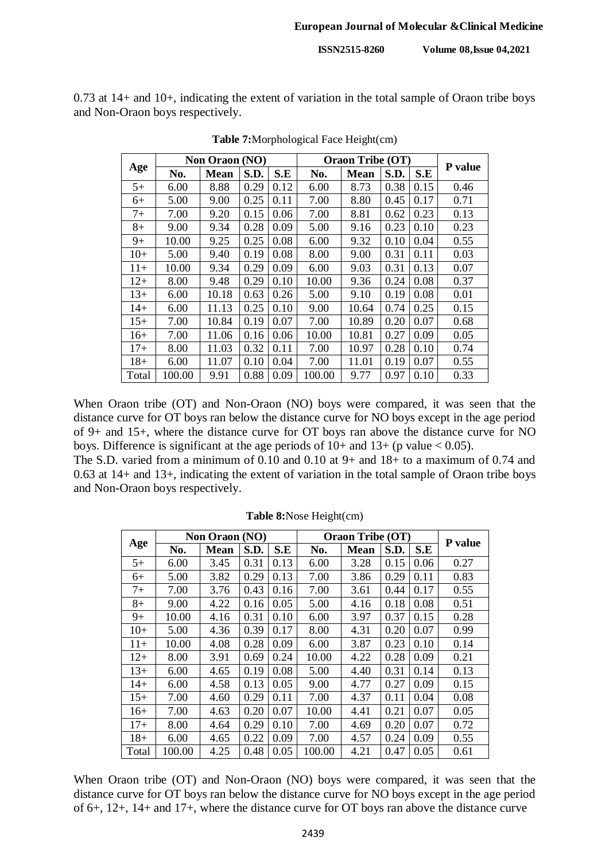0.73 at 14+ and 10+, indicating the extent of variation in the total sample of Oraon tribe boys and Non-Oraon boys respectively.

|       |        | Non Oraon (NO) |      |      |        | <b>Oraon Tribe (OT)</b> |      |      |         |
|-------|--------|----------------|------|------|--------|-------------------------|------|------|---------|
| Age   | No.    | <b>Mean</b>    | S.D. | S.E  | No.    | <b>Mean</b>             | S.D. | S.E  | P value |
| $5+$  | 6.00   | 8.88           | 0.29 | 0.12 | 6.00   | 8.73                    | 0.38 | 0.15 | 0.46    |
| $6+$  | 5.00   | 9.00           | 0.25 | 0.11 | 7.00   | 8.80                    | 0.45 | 0.17 | 0.71    |
| $7+$  | 7.00   | 9.20           | 0.15 | 0.06 | 7.00   | 8.81                    | 0.62 | 0.23 | 0.13    |
| $8+$  | 9.00   | 9.34           | 0.28 | 0.09 | 5.00   | 9.16                    | 0.23 | 0.10 | 0.23    |
| $9+$  | 10.00  | 9.25           | 0.25 | 0.08 | 6.00   | 9.32                    | 0.10 | 0.04 | 0.55    |
| $10+$ | 5.00   | 9.40           | 0.19 | 0.08 | 8.00   | 9.00                    | 0.31 | 0.11 | 0.03    |
| $11+$ | 10.00  | 9.34           | 0.29 | 0.09 | 6.00   | 9.03                    | 0.31 | 0.13 | 0.07    |
| $12+$ | 8.00   | 9.48           | 0.29 | 0.10 | 10.00  | 9.36                    | 0.24 | 0.08 | 0.37    |
| $13+$ | 6.00   | 10.18          | 0.63 | 0.26 | 5.00   | 9.10                    | 0.19 | 0.08 | 0.01    |
| 14+   | 6.00   | 11.13          | 0.25 | 0.10 | 9.00   | 10.64                   | 0.74 | 0.25 | 0.15    |
| $15+$ | 7.00   | 10.84          | 0.19 | 0.07 | 7.00   | 10.89                   | 0.20 | 0.07 | 0.68    |
| $16+$ | 7.00   | 11.06          | 0.16 | 0.06 | 10.00  | 10.81                   | 0.27 | 0.09 | 0.05    |
| $17+$ | 8.00   | 11.03          | 0.32 | 0.11 | 7.00   | 10.97                   | 0.28 | 0.10 | 0.74    |
| $18+$ | 6.00   | 11.07          | 0.10 | 0.04 | 7.00   | 11.01                   | 0.19 | 0.07 | 0.55    |
| Total | 100.00 | 9.91           | 0.88 | 0.09 | 100.00 | 9.77                    | 0.97 | 0.10 | 0.33    |

**Table 7:**Morphological Face Height(cm)

When Oraon tribe (OT) and Non-Oraon (NO) boys were compared, it was seen that the distance curve for OT boys ran below the distance curve for NO boys except in the age period of 9+ and 15+, where the distance curve for OT boys ran above the distance curve for NO boys. Difference is significant at the age periods of  $10+$  and  $13+$  (p value < 0.05).

The S.D. varied from a minimum of 0.10 and 0.10 at 9+ and 18+ to a maximum of 0.74 and 0.63 at 14+ and 13+, indicating the extent of variation in the total sample of Oraon tribe boys and Non-Oraon boys respectively.

|       |        | <b>Non Oraon (NO)</b> |      |      |        | <b>Oraon Tribe (OT)</b> |      |      |         |
|-------|--------|-----------------------|------|------|--------|-------------------------|------|------|---------|
| Age   | No.    | <b>Mean</b>           | S.D. | S.E  | No.    | <b>Mean</b>             | S.D. | S.E  | P value |
| $5+$  | 6.00   | 3.45                  | 0.31 | 0.13 | 6.00   | 3.28                    | 0.15 | 0.06 | 0.27    |
| 6+    | 5.00   | 3.82                  | 0.29 | 0.13 | 7.00   | 3.86                    | 0.29 | 0.11 | 0.83    |
| $7+$  | 7.00   | 3.76                  | 0.43 | 0.16 | 7.00   | 3.61                    | 0.44 | 0.17 | 0.55    |
| $8+$  | 9.00   | 4.22                  | 0.16 | 0.05 | 5.00   | 4.16                    | 0.18 | 0.08 | 0.51    |
| $9+$  | 10.00  | 4.16                  | 0.31 | 0.10 | 6.00   | 3.97                    | 0.37 | 0.15 | 0.28    |
| $10+$ | 5.00   | 4.36                  | 0.39 | 0.17 | 8.00   | 4.31                    | 0.20 | 0.07 | 0.99    |
| $11+$ | 10.00  | 4.08                  | 0.28 | 0.09 | 6.00   | 3.87                    | 0.23 | 0.10 | 0.14    |
| $12+$ | 8.00   | 3.91                  | 0.69 | 0.24 | 10.00  | 4.22                    | 0.28 | 0.09 | 0.21    |
| $13+$ | 6.00   | 4.65                  | 0.19 | 0.08 | 5.00   | 4.40                    | 0.31 | 0.14 | 0.13    |
| 14+   | 6.00   | 4.58                  | 0.13 | 0.05 | 9.00   | 4.77                    | 0.27 | 0.09 | 0.15    |
| $15+$ | 7.00   | 4.60                  | 0.29 | 0.11 | 7.00   | 4.37                    | 0.11 | 0.04 | 0.08    |
| $16+$ | 7.00   | 4.63                  | 0.20 | 0.07 | 10.00  | 4.41                    | 0.21 | 0.07 | 0.05    |
| $17+$ | 8.00   | 4.64                  | 0.29 | 0.10 | 7.00   | 4.69                    | 0.20 | 0.07 | 0.72    |
| $18+$ | 6.00   | 4.65                  | 0.22 | 0.09 | 7.00   | 4.57                    | 0.24 | 0.09 | 0.55    |
| Total | 100.00 | 4.25                  | 0.48 | 0.05 | 100.00 | 4.21                    | 0.47 | 0.05 | 0.61    |

**Table 8:**Nose Height(cm)

When Oraon tribe (OT) and Non-Oraon (NO) boys were compared, it was seen that the distance curve for OT boys ran below the distance curve for NO boys except in the age period of 6+, 12+, 14+ and 17+, where the distance curve for OT boys ran above the distance curve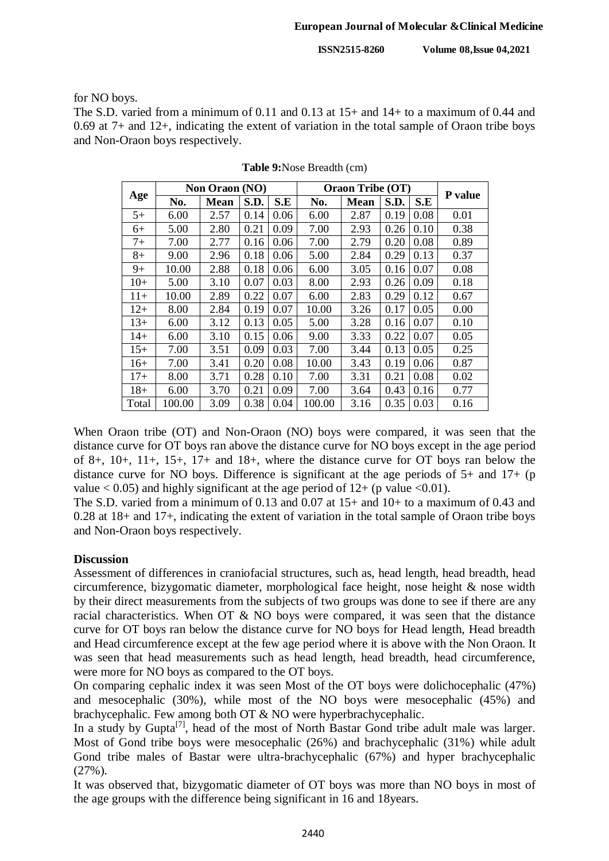for NO boys.

The S.D. varied from a minimum of 0.11 and 0.13 at 15+ and 14+ to a maximum of 0.44 and 0.69 at 7+ and 12+, indicating the extent of variation in the total sample of Oraon tribe boys and Non-Oraon boys respectively.

|       |        | Non Oraon (NO) |      |      |        | <b>Oraon Tribe (OT)</b> |      |      |         |
|-------|--------|----------------|------|------|--------|-------------------------|------|------|---------|
| Age   | No.    | <b>Mean</b>    | S.D. | S.E  | No.    | <b>Mean</b>             | S.D. | S.E  | P value |
| $5+$  | 6.00   | 2.57           | 0.14 | 0.06 | 6.00   | 2.87                    | 0.19 | 0.08 | 0.01    |
| 6+    | 5.00   | 2.80           | 0.21 | 0.09 | 7.00   | 2.93                    | 0.26 | 0.10 | 0.38    |
| 7+    | 7.00   | 2.77           | 0.16 | 0.06 | 7.00   | 2.79                    | 0.20 | 0.08 | 0.89    |
| $8+$  | 9.00   | 2.96           | 0.18 | 0.06 | 5.00   | 2.84                    | 0.29 | 0.13 | 0.37    |
| 9+    | 10.00  | 2.88           | 0.18 | 0.06 | 6.00   | 3.05                    | 0.16 | 0.07 | 0.08    |
| $10+$ | 5.00   | 3.10           | 0.07 | 0.03 | 8.00   | 2.93                    | 0.26 | 0.09 | 0.18    |
| $11+$ | 10.00  | 2.89           | 0.22 | 0.07 | 6.00   | 2.83                    | 0.29 | 0.12 | 0.67    |
| $12+$ | 8.00   | 2.84           | 0.19 | 0.07 | 10.00  | 3.26                    | 0.17 | 0.05 | 0.00    |
| $13+$ | 6.00   | 3.12           | 0.13 | 0.05 | 5.00   | 3.28                    | 0.16 | 0.07 | 0.10    |
| 14+   | 6.00   | 3.10           | 0.15 | 0.06 | 9.00   | 3.33                    | 0.22 | 0.07 | 0.05    |
| $15+$ | 7.00   | 3.51           | 0.09 | 0.03 | 7.00   | 3.44                    | 0.13 | 0.05 | 0.25    |
| $16+$ | 7.00   | 3.41           | 0.20 | 0.08 | 10.00  | 3.43                    | 0.19 | 0.06 | 0.87    |
| $17+$ | 8.00   | 3.71           | 0.28 | 0.10 | 7.00   | 3.31                    | 0.21 | 0.08 | 0.02    |
| $18+$ | 6.00   | 3.70           | 0.21 | 0.09 | 7.00   | 3.64                    | 0.43 | 0.16 | 0.77    |
| Total | 100.00 | 3.09           | 0.38 | 0.04 | 100.00 | 3.16                    | 0.35 | 0.03 | 0.16    |

When Oraon tribe (OT) and Non-Oraon (NO) boys were compared, it was seen that the distance curve for OT boys ran above the distance curve for NO boys except in the age period of 8+, 10+, 11+, 15+, 17+ and 18+, where the distance curve for OT boys ran below the distance curve for NO boys. Difference is significant at the age periods of 5+ and 17+ (p value  $< 0.05$ ) and highly significant at the age period of  $12+$  (p value  $< 0.01$ ).

The S.D. varied from a minimum of 0.13 and 0.07 at 15+ and 10+ to a maximum of 0.43 and 0.28 at 18+ and 17+, indicating the extent of variation in the total sample of Oraon tribe boys and Non-Oraon boys respectively.

#### **Discussion**

Assessment of differences in craniofacial structures, such as, head length, head breadth, head circumference, bizygomatic diameter, morphological face height, nose height & nose width by their direct measurements from the subjects of two groups was done to see if there are any racial characteristics. When OT  $\&$  NO boys were compared, it was seen that the distance curve for OT boys ran below the distance curve for NO boys for Head length, Head breadth and Head circumference except at the few age period where it is above with the Non Oraon. It was seen that head measurements such as head length, head breadth, head circumference, were more for NO boys as compared to the OT boys.

On comparing cephalic index it was seen Most of the OT boys were dolichocephalic (47%) and mesocephalic (30%), while most of the NO boys were mesocephalic (45%) and brachycephalic. Few among both OT & NO were hyperbrachycephalic.

In a study by Gupta<sup>[7]</sup>, head of the most of North Bastar Gond tribe adult male was larger. Most of Gond tribe boys were mesocephalic (26%) and brachycephalic (31%) while adult Gond tribe males of Bastar were ultra-brachycephalic (67%) and hyper brachycephalic (27%).

It was observed that, bizygomatic diameter of OT boys was more than NO boys in most of the age groups with the difference being significant in 16 and 18years.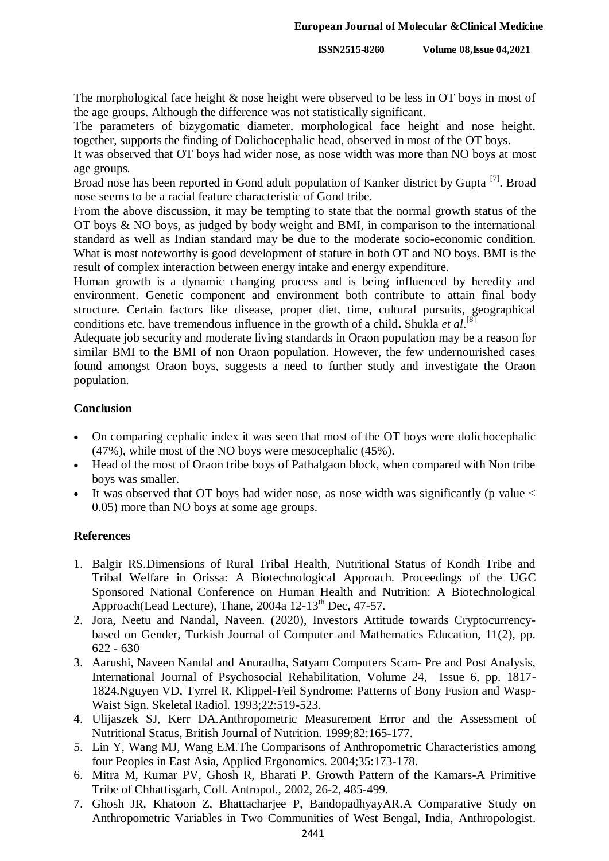The morphological face height & nose height were observed to be less in OT boys in most of the age groups. Although the difference was not statistically significant.

The parameters of bizygomatic diameter, morphological face height and nose height, together, supports the finding of Dolichocephalic head, observed in most of the OT boys.

It was observed that OT boys had wider nose, as nose width was more than NO boys at most age groups.

Broad nose has been reported in Gond adult population of Kanker district by Gupta<sup>[7]</sup>. Broad nose seems to be a racial feature characteristic of Gond tribe.

From the above discussion, it may be tempting to state that the normal growth status of the OT boys & NO boys, as judged by body weight and BMI, in comparison to the international standard as well as Indian standard may be due to the moderate socio-economic condition. What is most noteworthy is good development of stature in both OT and NO boys. BMI is the result of complex interaction between energy intake and energy expenditure.

Human growth is a dynamic changing process and is being influenced by heredity and environment. Genetic component and environment both contribute to attain final body structure. Certain factors like disease, proper diet, time, cultural pursuits, geographical conditions etc. have tremendous influence in the growth of a child**.** Shukla *et al*. [8]

Adequate job security and moderate living standards in Oraon population may be a reason for similar BMI to the BMI of non Oraon population. However, the few undernourished cases found amongst Oraon boys, suggests a need to further study and investigate the Oraon population.

### **Conclusion**

- On comparing cephalic index it was seen that most of the OT boys were dolichocephalic (47%), while most of the NO boys were mesocephalic (45%).
- Head of the most of Oraon tribe boys of Pathalgaon block, when compared with Non tribe boys was smaller.
- It was observed that OT boys had wider nose, as nose width was significantly (p value  $\lt$ 0.05) more than NO boys at some age groups.

# **References**

- 1. Balgir RS.Dimensions of Rural Tribal Health, Nutritional Status of Kondh Tribe and Tribal Welfare in Orissa: A Biotechnological Approach. Proceedings of the UGC Sponsored National Conference on Human Health and Nutrition: A Biotechnological Approach(Lead Lecture), Thane,  $2004a$  12-13<sup>th</sup> Dec, 47-57.
- 2. Jora, Neetu and Nandal, Naveen. (2020), Investors Attitude towards Cryptocurrencybased on Gender, Turkish Journal of Computer and Mathematics Education, 11(2), pp. 622 - 630
- 3. Aarushi, Naveen Nandal and Anuradha, Satyam Computers Scam- Pre and Post Analysis, International Journal of Psychosocial Rehabilitation, Volume 24, Issue 6, pp. 1817- 1824.Nguyen VD, Tyrrel R. Klippel-Feil Syndrome: Patterns of Bony Fusion and Wasp-Waist Sign. Skeletal Radiol. 1993;22:519-523.
- 4. Ulijaszek SJ, Kerr DA.Anthropometric Measurement Error and the Assessment of Nutritional Status, British Journal of Nutrition. 1999;82:165-177.
- 5. Lin Y, Wang MJ, Wang EM.The Comparisons of Anthropometric Characteristics among four Peoples in East Asia, Applied Ergonomics. 2004;35:173-178.
- 6. Mitra M, Kumar PV, Ghosh R, Bharati P. Growth Pattern of the Kamars-A Primitive Tribe of Chhattisgarh, Coll. Antropol., 2002, 26-2, 485-499.
- 7. Ghosh JR, Khatoon Z, Bhattacharjee P, BandopadhyayAR.A Comparative Study on Anthropometric Variables in Two Communities of West Bengal, India, Anthropologist.